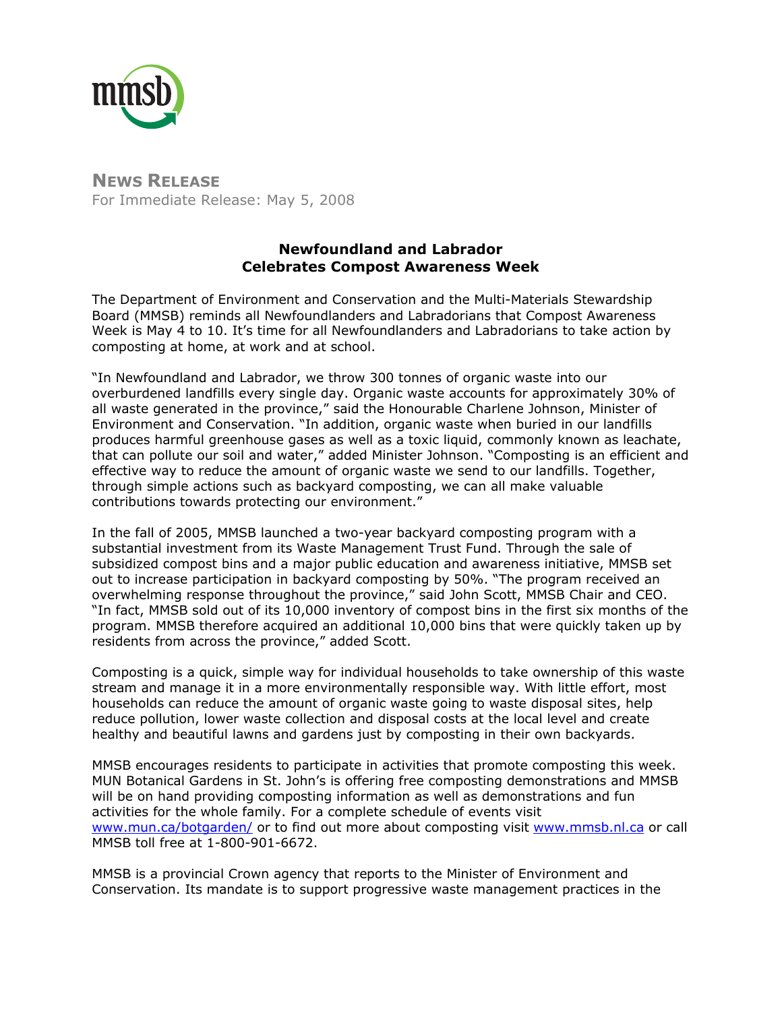

**NEWS RELEASE** For Immediate Release: May 5, 2008

## **Newfoundland and Labrador Celebrates Compost Awareness Week**

The Department of Environment and Conservation and the Multi-Materials Stewardship Board (MMSB) reminds all Newfoundlanders and Labradorians that Compost Awareness Week is May 4 to 10. It's time for all Newfoundlanders and Labradorians to take action by composting at home, at work and at school.

"In Newfoundland and Labrador, we throw 300 tonnes of organic waste into our overburdened landfills every single day. Organic waste accounts for approximately 30% of all waste generated in the province," said the Honourable Charlene Johnson, Minister of Environment and Conservation. "In addition, organic waste when buried in our landfills produces harmful greenhouse gases as well as a toxic liquid, commonly known as leachate, that can pollute our soil and water," added Minister Johnson. "Composting is an efficient and effective way to reduce the amount of organic waste we send to our landfills. Together, through simple actions such as backyard composting, we can all make valuable contributions towards protecting our environment."

In the fall of 2005, MMSB launched a two-year backyard composting program with a substantial investment from its Waste Management Trust Fund. Through the sale of subsidized compost bins and a major public education and awareness initiative, MMSB set out to increase participation in backyard composting by 50%. "The program received an overwhelming response throughout the province," said John Scott, MMSB Chair and CEO. "In fact, MMSB sold out of its 10,000 inventory of compost bins in the first six months of the program. MMSB therefore acquired an additional 10,000 bins that were quickly taken up by residents from across the province," added Scott.

Composting is a quick, simple way for individual households to take ownership of this waste stream and manage it in a more environmentally responsible way. With little effort, most households can reduce the amount of organic waste going to waste disposal sites, help reduce pollution, lower waste collection and disposal costs at the local level and create healthy and beautiful lawns and gardens just by composting in their own backyards.

MMSB encourages residents to participate in activities that promote composting this week. MUN Botanical Gardens in St. John's is offering free composting demonstrations and MMSB will be on hand providing composting information as well as demonstrations and fun activities for the whole family. For a complete schedule of events visit [www.mun.ca/botgarden/](http://www.mun.ca/botgarden/) or to find out more about composting visit [www.mmsb.nl.ca](http://www.mmsb.nl.ca/) or call MMSB toll free at 1-800-901-6672.

MMSB is a provincial Crown agency that reports to the Minister of Environment and Conservation. Its mandate is to support progressive waste management practices in the